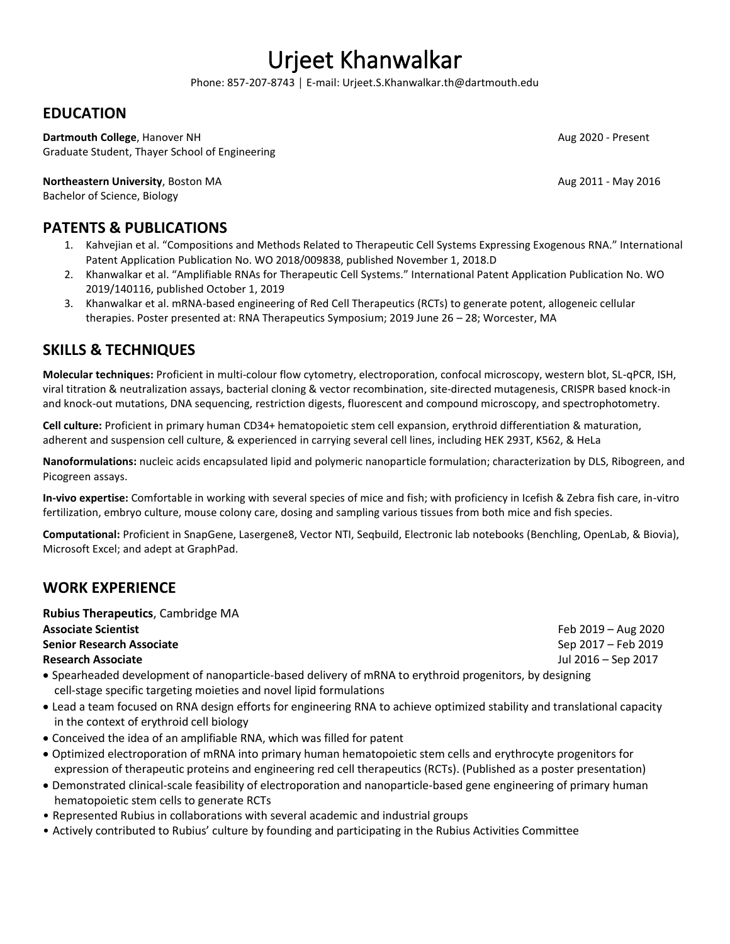# Urjeet Khanwalkar

Phone: 857-207-8743 │ E-mail: Urjeet.S.Khanwalkar.th@dartmouth.edu

## **EDUCATION**

**Dartmouth College**, Hanover NH **Aug 2020 - Present** Aug 2020 - Present Graduate Student, Thayer School of Engineering

**Northeastern University**, Boston MA Aug 2011 - May 2016 Bachelor of Science, Biology

## **PATENTS & PUBLICATIONS**

- 1. Kahvejian et al. "Compositions and Methods Related to Therapeutic Cell Systems Expressing Exogenous RNA." International Patent Application Publication No. WO 2018/009838, published November 1, 2018.D
- 2. Khanwalkar et al. "Amplifiable RNAs for Therapeutic Cell Systems." International Patent Application Publication No. WO 2019/140116, published October 1, 2019
- 3. Khanwalkar et al. mRNA-based engineering of Red Cell Therapeutics (RCTs) to generate potent, allogeneic cellular therapies. Poster presented at: RNA Therapeutics Symposium; 2019 June 26 – 28; Worcester, MA

## **SKILLS & TECHNIQUES**

**Molecular techniques:** Proficient in multi-colour flow cytometry, electroporation, confocal microscopy, western blot, SL-qPCR, ISH, viral titration & neutralization assays, bacterial cloning & vector recombination, site-directed mutagenesis, CRISPR based knock-in and knock-out mutations, DNA sequencing, restriction digests, fluorescent and compound microscopy, and spectrophotometry.

**Cell culture:** Proficient in primary human CD34+ hematopoietic stem cell expansion, erythroid differentiation & maturation, adherent and suspension cell culture, & experienced in carrying several cell lines, including HEK 293T, K562, & HeLa

**Nanoformulations:** nucleic acids encapsulated lipid and polymeric nanoparticle formulation; characterization by DLS, Ribogreen, and Picogreen assays.

**In-vivo expertise:** Comfortable in working with several species of mice and fish; with proficiency in Icefish & Zebra fish care, in-vitro fertilization, embryo culture, mouse colony care, dosing and sampling various tissues from both mice and fish species.

**Computational:** Proficient in SnapGene, Lasergene8, Vector NTI, Seqbuild, Electronic lab notebooks (Benchling, OpenLab, & Biovia), Microsoft Excel; and adept at GraphPad.

### **WORK EXPERIENCE**

**Rubius Therapeutics**, Cambridge MA **Associate Scientist** Feb 2019 – Aug 2020 **Senior Research Associate** Sep 2017 – Feb 2019 **Research Associate** Jul 2016 – Sep 2017

- Spearheaded development of nanoparticle-based delivery of mRNA to erythroid progenitors, by designing cell-stage specific targeting moieties and novel lipid formulations
- Lead a team focused on RNA design efforts for engineering RNA to achieve optimized stability and translational capacity in the context of erythroid cell biology
- Conceived the idea of an amplifiable RNA, which was filled for patent
- Optimized electroporation of mRNA into primary human hematopoietic stem cells and erythrocyte progenitors for expression of therapeutic proteins and engineering red cell therapeutics (RCTs). (Published as a poster presentation)
- Demonstrated clinical-scale feasibility of electroporation and nanoparticle-based gene engineering of primary human hematopoietic stem cells to generate RCTs
- Represented Rubius in collaborations with several academic and industrial groups
- Actively contributed to Rubius' culture by founding and participating in the Rubius Activities Committee